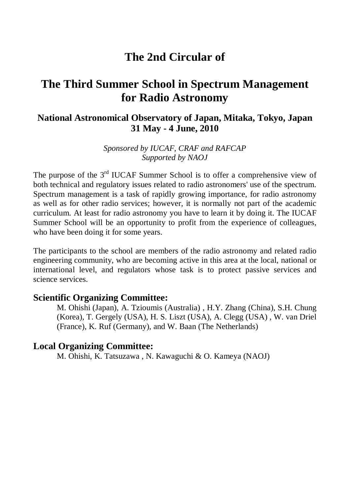# **The 2nd Circular of**

# **The Third Summer School in Spectrum Management for Radio Astronomy**

## **National Astronomical Observatory of Japan, Mitaka, Tokyo, Japan 31 May - 4 June, 2010**

*Sponsored by IUCAF, CRAF and RAFCAP Supported by NAOJ*

The purpose of the 3<sup>rd</sup> IUCAF Summer School is to offer a comprehensive view of both technical and regulatory issues related to radio astronomers' use of the spectrum. Spectrum management is a task of rapidly growing importance, for radio astronomy as well as for other radio services; however, it is normally not part of the academic curriculum. At least for radio astronomy you have to learn it by doing it. The IUCAF Summer School will be an opportunity to profit from the experience of colleagues, who have been doing it for some years.

The participants to the school are members of the radio astronomy and related radio engineering community, who are becoming active in this area at the local, national or international level, and regulators whose task is to protect passive services and science services.

#### **Scientific Organizing Committee:**

M. Ohishi (Japan), A. Tzioumis (Australia) , H.Y. Zhang (China), S.H. Chung (Korea), T. Gergely (USA), H. S. Liszt (USA), A. Clegg (USA) , W. van Driel (France), K. Ruf (Germany), and W. Baan (The Netherlands)

#### **Local Organizing Committee:**

M. Ohishi, K. Tatsuzawa , N. Kawaguchi & O. Kameya (NAOJ)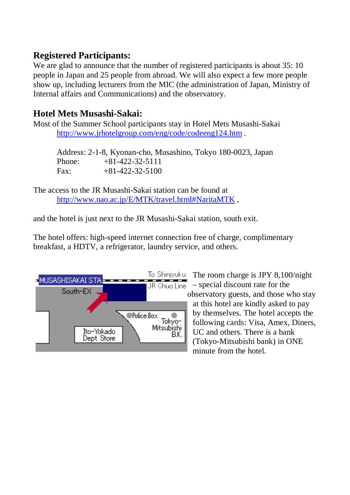## **Registered Participants:**

We are glad to announce that the number of registered participants is about 35:10 people in Japan and 25 people from abroad. We will also expect a few more people show up, including lecturers from the MIC (the administration of Japan, Ministry of Internal affairs and Communications) and the observatory.

## **Hotel Mets Musashi-Sakai:**

Most of the Summer School participants stay in Hotel Mets Musashi-Sakai <http://www.jrhotelgroup.com/eng/code/codeeng124.htm> .

Address: 2-1-8, Kyonan-cho, Musashino, Tokyo 180-0023, Japan Phone:  $+81-422-32-5111$ Fax:  $+81-422-32-5100$ 

The access to the JR Musashi-Sakai station can be found at [http://www.nao.ac.jp/E/MTK/travel.html#NaritaMTK](http://www.nao.ac.jp/E/MTK/travel.html%23NaritaMTK) ,

and the hotel is just next to the JR Musashi-Sakai station, south exit.

The hotel offers: high-speed internet connection free of charge, complimentary breakfast, a HDTV, a refrigerator, laundry service, and others.



To Shinjyuku The room charge is JPY 8,100/night  $\sqrt{\frac{1}{R}}$  – special discount rate for the observatory guests, and those who stay at this hotel are kindly asked to pay by themselves. The hotel accepts the following cards: Visa, Amex, Diners, UC and others. There is a bank (Tokyo-Mitsubishi bank) in ONE minute from the hotel.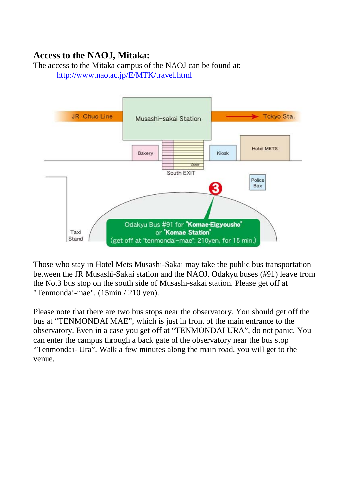## **Access to the NAOJ, Mitaka:**

The access to the Mitaka campus of the NAOJ can be found at: <http://www.nao.ac.jp/E/MTK/travel.html>



Those who stay in Hotel Mets Musashi-Sakai may take the public bus transportation between the JR Musashi-Sakai station and the NAOJ. Odakyu buses (#91) leave from the No.3 bus stop on the south side of Musashi-sakai station. Please get off at "Tenmondai-mae". (15min / 210 yen).

Please note that there are two bus stops near the observatory. You should get off the bus at "TENMONDAI MAE", which is just in front of the main entrance to the observatory. Even in a case you get off at "TENMONDAI URA", do not panic. You can enter the campus through a back gate of the observatory near the bus stop "Tenmondai- Ura". Walk a few minutes along the main road, you will get to the venue.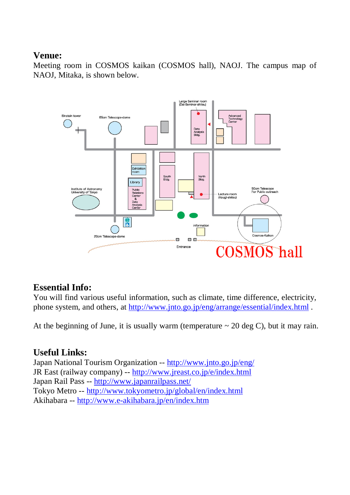## **Venue:**

Meeting room in COSMOS kaikan (COSMOS hall), NAOJ. The campus map of NAOJ, Mitaka, is shown below.



## **Essential Info:**

You will find various useful information, such as climate, time difference, electricity, phone system, and others, at<http://www.jnto.go.jp/eng/arrange/essential/index.html> .

At the beginning of June, it is usually warm (temperature  $\sim$  20 deg C), but it may rain.

## **Useful Links:**

Japan National Tourism Organization -- <http://www.jnto.go.jp/eng/> JR East (railway company) -- <http://www.jreast.co.jp/e/index.html> Japan Rail Pass -- <http://www.japanrailpass.net/> Tokyo Metro -- <http://www.tokyometro.jp/global/en/index.html> Akihabara -- <http://www.e-akihabara.jp/en/index.htm>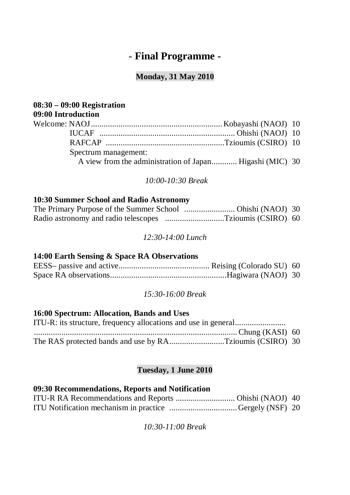# *-* **Final Programme -**

### **Monday, 31 May 2010**

| $08:30 - 09:00$ Registration |                                                          |  |
|------------------------------|----------------------------------------------------------|--|
| 09:00 Introduction           |                                                          |  |
|                              |                                                          |  |
|                              |                                                          |  |
|                              |                                                          |  |
| Spectrum management:         |                                                          |  |
|                              | A view from the administration of Japan Higashi (MIC) 30 |  |
|                              |                                                          |  |

#### *10:00-10:30 Break*

#### **10:30 Summer School and Radio Astronomy**

| Radio astronomy and radio telescopes Tzioumis (CSIRO) 60 |  |
|----------------------------------------------------------|--|

*12:30-14:00 Lunch*

#### **14:00 Earth Sensing & Space RA Observations**

*15:30-16:00 Break*

## **16:00 Spectrum: Allocation, Bands and Uses**

| The RAS protected bands and use by RATzioumis (CSIRO) 30 |  |
|----------------------------------------------------------|--|

## **Tuesday, 1 June 2010**

#### **09:30 Recommendations, Reports and Notification**

| ITU Notification mechanism in practice Gergely (NSF) 20 |  |
|---------------------------------------------------------|--|

*10:30-11:00 Break*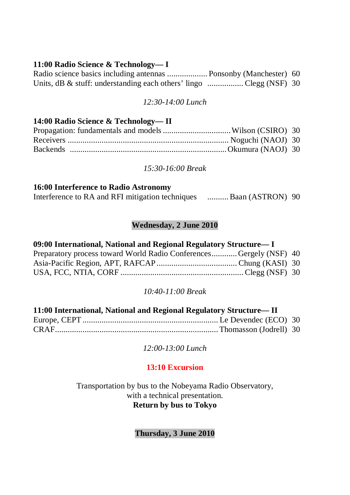#### **11:00 Radio Science & Technology— I**

| Radio science basics including antennas  Ponsonby (Manchester) 60  |  |
|--------------------------------------------------------------------|--|
| Units, dB & stuff: understanding each others' lingo Clegg (NSF) 30 |  |

#### *12:30-14:00 Lunch*

#### **14:00 Radio Science & Technology— II**

#### *15:30-16:00 Break*

#### **16:00 Interference to Radio Astronomy**

| Interference to RA and RFI mitigation techniques | Baan (ASTRON) 90 |
|--------------------------------------------------|------------------|
|--------------------------------------------------|------------------|

#### **Wednesday, 2 June 2010**

#### **09:00 International, National and Regional Regulatory Structure— I**

| Preparatory process toward World Radio ConferencesGergely (NSF) 40 |  |
|--------------------------------------------------------------------|--|
|                                                                    |  |
|                                                                    |  |

#### *10:40-11:00 Break*

| 11:00 International, National and Regional Regulatory Structure-II |  |  |
|--------------------------------------------------------------------|--|--|
|                                                                    |  |  |
|                                                                    |  |  |

*12:00-13:00 Lunch*

### **13:10 Excursion**

Transportation by bus to the Nobeyama Radio Observatory, with a technical presentation. **Return by bus to Tokyo**

**Thursday, 3 June 2010**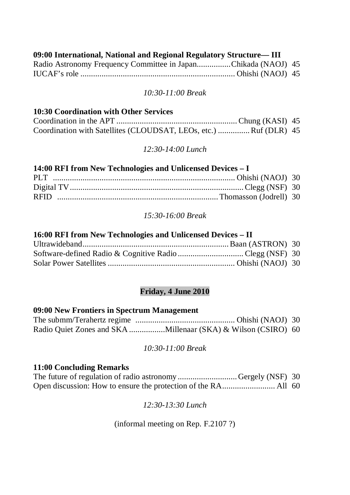#### **09:00 International, National and Regional Regulatory Structure— III**

| Radio Astronomy Frequency Committee in JapanChikada (NAOJ) 45 |  |
|---------------------------------------------------------------|--|
|                                                               |  |

#### *10:30-11:00 Break*

#### **10:30 Coordination with Other Services**

| Coordination with Satellites (CLOUDSAT, LEOs, etc.)  Ruf (DLR) 45 |  |
|-------------------------------------------------------------------|--|

#### *12:30-14:00 Lunch*

| 14:00 RFI from New Technologies and Unlicensed Devices - I |  |  |
|------------------------------------------------------------|--|--|
|                                                            |  |  |
|                                                            |  |  |
|                                                            |  |  |

#### *15:30-16:00 Break*

#### **16:00 RFI from New Technologies and Unlicensed Devices – II**

### **Friday, 4 June 2010**

#### **09:00 New Frontiers in Spectrum Management**

#### *10:30-11:00 Break*

#### **11:00 Concluding Remarks**

| The future of regulation of radio astronomy Gergely (NSF) 30 |  |
|--------------------------------------------------------------|--|
|                                                              |  |

#### *12:30-13:30 Lunch*

#### (informal meeting on Rep. F.2107 ?)